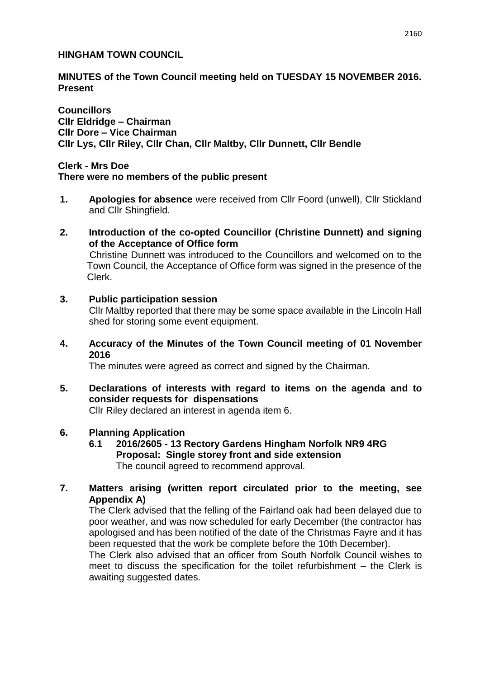### **HINGHAM TOWN COUNCIL**

### **MINUTES of the Town Council meeting held on TUESDAY 15 NOVEMBER 2016. Present**

**Councillors Cllr Eldridge – Chairman Cllr Dore – Vice Chairman Cllr Lys, Cllr Riley, Cllr Chan, Cllr Maltby, Cllr Dunnett, Cllr Bendle**

### **Clerk - Mrs Doe**

#### **There were no members of the public present**

- **1. Apologies for absence** were received from Cllr Foord (unwell), Cllr Stickland and Cllr Shingfield.
- **2. Introduction of the co-opted Councillor (Christine Dunnett) and signing of the Acceptance of Office form** Christine Dunnett was introduced to the Councillors and welcomed on to the Town Council, the Acceptance of Office form was signed in the presence of the Clerk.
- **3. Public participation session**  Cllr Maltby reported that there may be some space available in the Lincoln Hall shed for storing some event equipment.
- **4. Accuracy of the Minutes of the Town Council meeting of 01 November 2016**

The minutes were agreed as correct and signed by the Chairman.

**5. Declarations of interests with regard to items on the agenda and to consider requests for dispensations** 

Cllr Riley declared an interest in agenda item 6.

## **6. Planning Application**

**6.1 2016/2605 - 13 Rectory Gardens Hingham Norfolk NR9 4RG Proposal: Single storey front and side extension** The council agreed to recommend approval.

## **7. Matters arising (written report circulated prior to the meeting, see Appendix A)**

The Clerk advised that the felling of the Fairland oak had been delayed due to poor weather, and was now scheduled for early December (the contractor has apologised and has been notified of the date of the Christmas Fayre and it has been requested that the work be complete before the 10th December).

The Clerk also advised that an officer from South Norfolk Council wishes to meet to discuss the specification for the toilet refurbishment – the Clerk is awaiting suggested dates.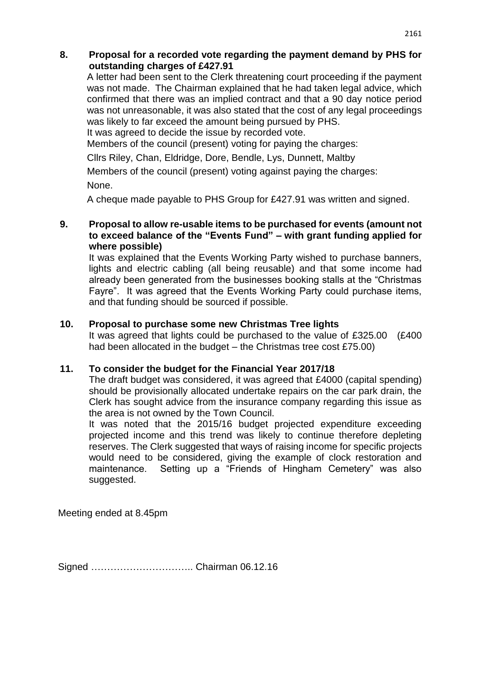## **8. Proposal for a recorded vote regarding the payment demand by PHS for outstanding charges of £427.91**

A letter had been sent to the Clerk threatening court proceeding if the payment was not made. The Chairman explained that he had taken legal advice, which confirmed that there was an implied contract and that a 90 day notice period was not unreasonable, it was also stated that the cost of any legal proceedings was likely to far exceed the amount being pursued by PHS.

It was agreed to decide the issue by recorded vote.

Members of the council (present) voting for paying the charges:

Cllrs Riley, Chan, Eldridge, Dore, Bendle, Lys, Dunnett, Maltby

Members of the council (present) voting against paying the charges: None.

A cheque made payable to PHS Group for £427.91 was written and signed.

## **9. Proposal to allow re-usable items to be purchased for events (amount not to exceed balance of the "Events Fund" – with grant funding applied for where possible)**

It was explained that the Events Working Party wished to purchase banners, lights and electric cabling (all being reusable) and that some income had already been generated from the businesses booking stalls at the "Christmas Fayre". It was agreed that the Events Working Party could purchase items, and that funding should be sourced if possible.

## **10. Proposal to purchase some new Christmas Tree lights**

It was agreed that lights could be purchased to the value of £325.00 (£400 had been allocated in the budget – the Christmas tree cost £75.00)

# **11. To consider the budget for the Financial Year 2017/18**

The draft budget was considered, it was agreed that £4000 (capital spending) should be provisionally allocated undertake repairs on the car park drain, the Clerk has sought advice from the insurance company regarding this issue as the area is not owned by the Town Council.

It was noted that the 2015/16 budget projected expenditure exceeding projected income and this trend was likely to continue therefore depleting reserves. The Clerk suggested that ways of raising income for specific projects would need to be considered, giving the example of clock restoration and maintenance. Setting up a "Friends of Hingham Cemetery" was also suggested.

Meeting ended at 8.45pm

Signed ………………………….. Chairman 06.12.16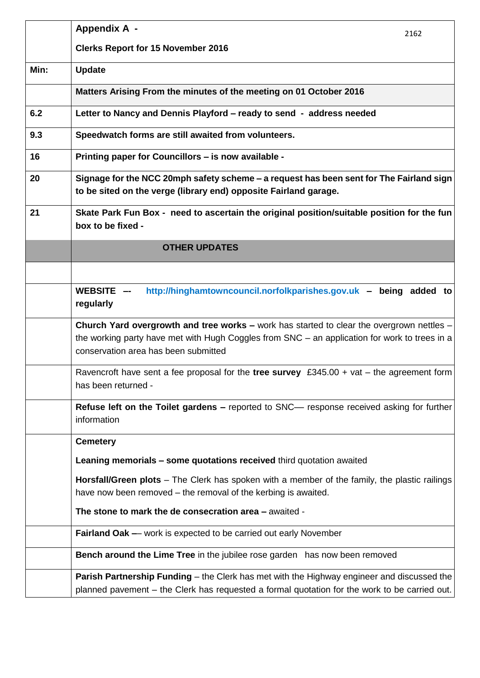|                                                                                                                             | <b>Appendix A -</b><br>2162                                                                                                                                                                                                        |  |
|-----------------------------------------------------------------------------------------------------------------------------|------------------------------------------------------------------------------------------------------------------------------------------------------------------------------------------------------------------------------------|--|
|                                                                                                                             | <b>Clerks Report for 15 November 2016</b>                                                                                                                                                                                          |  |
| Min:                                                                                                                        | <b>Update</b>                                                                                                                                                                                                                      |  |
|                                                                                                                             | Matters Arising From the minutes of the meeting on 01 October 2016                                                                                                                                                                 |  |
| 6.2                                                                                                                         | Letter to Nancy and Dennis Playford - ready to send - address needed                                                                                                                                                               |  |
| 9.3                                                                                                                         | Speedwatch forms are still awaited from volunteers.                                                                                                                                                                                |  |
| 16                                                                                                                          | Printing paper for Councillors - is now available -                                                                                                                                                                                |  |
| 20                                                                                                                          | Signage for the NCC 20mph safety scheme – a request has been sent for The Fairland sign<br>to be sited on the verge (library end) opposite Fairland garage.                                                                        |  |
| 21                                                                                                                          | Skate Park Fun Box - need to ascertain the original position/suitable position for the fun<br>box to be fixed -                                                                                                                    |  |
|                                                                                                                             | <b>OTHER UPDATES</b>                                                                                                                                                                                                               |  |
|                                                                                                                             |                                                                                                                                                                                                                                    |  |
|                                                                                                                             | http://hinghamtowncouncil.norfolkparishes.gov.uk - being added to<br>WEBSITE -<br>regularly                                                                                                                                        |  |
|                                                                                                                             | Church Yard overgrowth and tree works - work has started to clear the overgrown nettles -<br>the working party have met with Hugh Coggles from SNC – an application for work to trees in a<br>conservation area has been submitted |  |
|                                                                                                                             | Ravencroft have sent a fee proposal for the tree survey £345.00 + vat – the agreement form<br>has been returned -                                                                                                                  |  |
| Refuse left on the Toilet gardens - reported to SNC- response received asking for further<br>information<br><b>Cemetery</b> |                                                                                                                                                                                                                                    |  |
|                                                                                                                             |                                                                                                                                                                                                                                    |  |
|                                                                                                                             | <b>Horsfall/Green plots</b> – The Clerk has spoken with a member of the family, the plastic railings<br>have now been removed – the removal of the kerbing is awaited.                                                             |  |
|                                                                                                                             | The stone to mark the de consecration area - awaited -                                                                                                                                                                             |  |
|                                                                                                                             | <b>Fairland Oak --</b> work is expected to be carried out early November                                                                                                                                                           |  |
|                                                                                                                             | <b>Bench around the Lime Tree</b> in the jubilee rose garden has now been removed                                                                                                                                                  |  |
|                                                                                                                             | <b>Parish Partnership Funding</b> – the Clerk has met with the Highway engineer and discussed the<br>planned pavement - the Clerk has requested a formal quotation for the work to be carried out.                                 |  |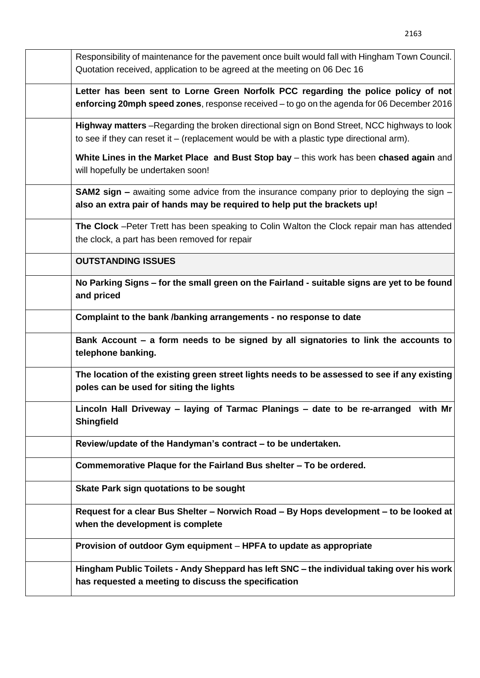| Responsibility of maintenance for the pavement once built would fall with Hingham Town Council.<br>Quotation received, application to be agreed at the meeting on 06 Dec 16              |
|------------------------------------------------------------------------------------------------------------------------------------------------------------------------------------------|
| Letter has been sent to Lorne Green Norfolk PCC regarding the police policy of not<br>enforcing 20mph speed zones, response received - to go on the agenda for 06 December 2016          |
| Highway matters -Regarding the broken directional sign on Bond Street, NCC highways to look<br>to see if they can reset it – (replacement would be with a plastic type directional arm). |
| White Lines in the Market Place and Bust Stop bay - this work has been chased again and<br>will hopefully be undertaken soon!                                                            |
| <b>SAM2 sign –</b> awaiting some advice from the insurance company prior to deploying the sign –<br>also an extra pair of hands may be required to help put the brackets up!             |
| The Clock -Peter Trett has been speaking to Colin Walton the Clock repair man has attended<br>the clock, a part has been removed for repair                                              |
| <b>OUTSTANDING ISSUES</b>                                                                                                                                                                |
| No Parking Signs – for the small green on the Fairland - suitable signs are yet to be found<br>and priced                                                                                |
| Complaint to the bank /banking arrangements - no response to date                                                                                                                        |
| Bank Account – a form needs to be signed by all signatories to link the accounts to<br>telephone banking.                                                                                |
| The location of the existing green street lights needs to be assessed to see if any existing<br>poles can be used for siting the lights                                                  |
| Lincoln Hall Driveway – laying of Tarmac Planings – date to be re-arranged with Mr<br><b>Shingfield</b>                                                                                  |
| Review/update of the Handyman's contract - to be undertaken.                                                                                                                             |
| Commemorative Plaque for the Fairland Bus shelter - To be ordered.                                                                                                                       |
| Skate Park sign quotations to be sought                                                                                                                                                  |
| Request for a clear Bus Shelter - Norwich Road - By Hops development - to be looked at<br>when the development is complete                                                               |
| Provision of outdoor Gym equipment – HPFA to update as appropriate                                                                                                                       |
| Hingham Public Toilets - Andy Sheppard has left SNC – the individual taking over his work<br>has requested a meeting to discuss the specification                                        |

2163